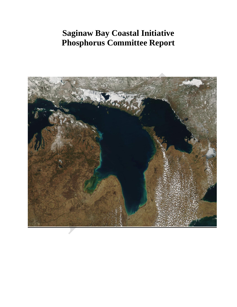# **Saginaw Bay Coastal Initiative Phosphorus Committee Report**

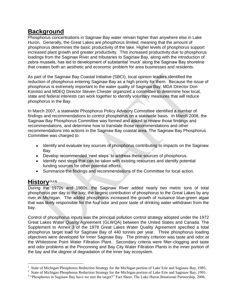## **Background**

Phosphorus concentrations in Saginaw Bay water remain higher than anywhere else in Lake Huron. Generally, the Great Lakes are *phosphorus limited*, meaning that the amount of phosphorus determines the basic productivity of the lake. Higher levels of phosphorus support increased plant growth and greater productivity. This increased productivity due to phosphorus loadings from the Saginaw River and tributaries to Saginaw Bay, along with the introduction of zebra mussels, has led to development of substantial 'muck' along the Saginaw Bay shoreline that creates both an aesthetic and economic problem for area businesses and residents.

As part of the Saginaw Bay Coastal Initiative (SBCI), local opinion leaders identified the reduction of phosphorus entering Saginaw Bay as a high priority for them. Because the issue of phosphorus is extremely important to the water quality of Saginaw Bay, MDA Director Don Koivisto and MDEQ Director Steven Chester organized a committee to determine how local, state and federal interests can work together to identify voluntary measures that will reduce phosphorus in the Bay.

In March 2007, a statewide Phosphorus Policy Advisory Committee identified a number of findings and recommendations to control phosphorus on a statewide basis. In March 2008, the Saginaw Bay Phosphorus Committee was formed and asked to review those findings and recommendations, and determine how to translate those recommendations and other recommendations into actions in the Saginaw Bay coastal area. The Saginaw Bay Phosphorus Committee was charged to:

- Identify and evaluate key sources of phosphorus contributing to impacts on the Saginaw Bay.
- $\bullet$ Develop recommended "next steps" to address these sources of phosphorus.
- Identify next steps that can be taken with existing resources and identify potential funding sources for other potential efforts.
- $\bullet$ Summarize the findings and recommendations of the Committee for local action.

## **History(1,2,3)**

During the 1970s and 1980s, the Saginaw River added nearly two metric tons of total phosphorus per day to the bay, the largest contribution of phosphorus to the Great Lakes by any river in Michigan. The added phosphorus increased the growth of nuisance blue-green algae that was likely responsible for the foul odor and poor taste of drinking water withdrawn from the bay.

Control of phosphorus inputs was the principal pollution control strategy adopted under the 1972 Great Lakes Water Quality Agreement (GLWQA) between the United States and Canada. The Supplement to Annex 3 of the 1978 Great Lakes Water Quality Agreement specified a total phosphorus target load for Saginaw Bay of 440 tonnes per year. Three phosphorus loading objectives were developed for Inner Saginaw Bay. The primary criterion was taste and odor at the Whitestone Point Water Filtration Plant. Secondary criteria were filter-clogging and taste and odor problems at the Pinconning and Bay City Water Filtration Plants in the inner portion of the bay and the degree of degradation of the inner bay ecosystem.

 $\overline{a}$ 1 State of Michigan Phosphorus Reduction Strategy for the Michigan portion of Lake Erie and Saginaw Bay, 1985.

<sup>&</sup>lt;sup>2</sup> State of Michigan Phosphorus Reduction Strategy for the Michigan portion of Lake Erie and Saginaw Bay, 1991.

<sup>&</sup>lt;sup>3</sup> "Phosphorus in Saginaw Bay have we met the target?" Fact Sheet, The Lake Huron Binational Partnership, 2006.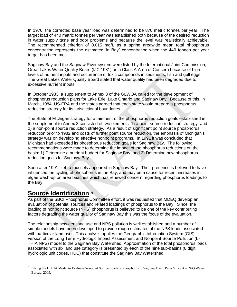In 1976, the corrected base year load was determined to be 870 metric tonnes per year. The target load of 440 metric tonnes per year was established both because of the desired reduction in water supply taste and odor problems and because the level was realistically achievable. The recommended criterion of 0.015 mg/L as a spring areawide mean total phosphorus concentration represents the estimated "in Bay" concentration when the 440 tonnes per year target has been met.

Saginaw Bay and the Saginaw River system were listed by the International Joint Commission, Great Lakes Water Quality Board (IJC 1981) as a Class A Area of Concern because of high levels of nutrient inputs and occurrence of toxic compounds in sediments, fish and gull eggs. The Great Lakes Water Quality Board stated that water quality had been degraded due to excessive nutrient inputs.

In October 1983, a supplement to Annex 3 of the GLWQA called for the development of phosphorus reduction plans for Lake Erie, Lake Ontario and Saginaw Bay. Because of this, in March, 1984, US-EPA and the states agreed that each state would prepare a phosphorus reduction strategy for its jurisdictional boundaries.

The State of Michigan strategy for attainment of the phosphorus reduction goals established in the supplement to Annex 3 consisted of two elements: 1) a point source reduction strategy; and 2) a non-point source reduction strategy. As a result of significant point source phosphorus reduction prior to 1982 and costs of further point source reduction, the emphasis of Michigan"s strategy was on developing effective nonpoint programs. In 1991 it was concluded that Michigan had exceeded its phosphorus reduction goals for Saginaw Bay. The following recommendations were made to determine the impact of the phosphorus reductions on the basin: 1) Determine a nutrient budget for Saginaw Bay; and 2) Determine new phosphorus reduction goals for Saginaw Bay.

Soon after 1991, zebra mussels appeared in Saginaw Bay. Their presence is believed to have influenced the cycling of phosphorus in the Bay, and may be a cause for recent increases in algae wash-up on area beaches which has renewed concern regarding phosphorus loadings to the Bay.

## **Source Identification(4)**

 $\overline{a}$ 

As part of the SBCI Phosphorus Committee effort, it was requested that MDEQ develop an evaluation of potential sources and related loadings of phosphorus to the Bay. Since, the loading of nonpoint source (NPS) phosphorus is believed to be one of the key contributing factors degrading the water quality of Saginaw Bay this was the focus of the evaluation.

The relationship between land use and NPS pollution is well established and a number of simple models have been developed to provide rough estimates of the NPS loads associated with particular land uses. This analysis applies the Geographic Information System (GIS) version of the Long Term Hydrologic Impact Assessment and Nonpoint Source Pollution (L-THIA NPS) model to the Saginaw Bay Watershed. Approximation of the total phosphorus loads associated with six land use category is presented by each of the nine sub-basins (8 digit hydrologic unit codes, HUC) that constitute the Saginaw Bay Watershed.

<sup>&</sup>lt;sup>4</sup> "Using the LTHIA Model to Evaluate Nonpoint Source Loads of Phosphorus to Saginaw Bay", Peter Vincent – DEQ Water Bureau, 2009.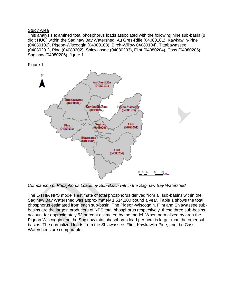### Study Area

This analysis examined total phosphorus loads associated with the following nine sub-basin (8 digit HUC) within the Saginaw Bay Watershed: Au Gres-Rifle (04080101), Kawkawlin-Pine (04080102), Pigeon-Wiscoggin (04080103), Birch-Willow 04080104), Tittabawassee (04080201), Pine (04080202), Shiawassee (04080203), Flint (04080204), Cass (04080205), Saginaw (04080206), figure 1.

Figure 1.



*Comparison of Phosphorus Loads by Sub-Basin within the Saginaw Bay Watershed*

The L-THIA NPS model"s estimate of total phosphorus derived from all sub-basins within the Saginaw Bay Watershed was approximately 1,514,100 pound a year. Table 1 shows the total phosphorus estimated from each sub-basin. The Pigeon-Wiscoggin, Flint and Shiawassee subbasins are the largest producers of NPS total phosphorus respectively, these three sub-basins account for approximately 53 percent estimated by the model. When normalized by area the Pigeon-Wiscoggin and the Saginaw total phosphorus load per acre is larger than the other subbasins. The normalized loads from the Shiawassee, Flint, Kawkawlin-Pine, and the Cass Watersheds are comparable.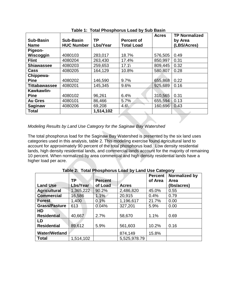|                      |                   |           |                   | <b>Acres</b> | <b>TP Normalized</b> |
|----------------------|-------------------|-----------|-------------------|--------------|----------------------|
| <b>Sub-Basin</b>     | <b>Sub-Basin</b>  | <b>TP</b> | <b>Percent of</b> |              | by Area              |
| <b>Name</b>          | <b>HUC Number</b> | Lbs/Year  | <b>Total Load</b> |              | (LBS/Acres)          |
| Pigeon-              |                   |           |                   |              |                      |
| Wiscoggin            | 4080103           | 283,017   | 18.7%             | 576,505      | 0.49                 |
| <b>Flint</b>         | 4080204           | 263,430   | 17.4%             | 850,997      | 0.31                 |
| <b>Shiawassee</b>    | 4080203           | 259,653   | $17.1\%$          | 809,445      | 0.32                 |
| Cass                 | 4080205           | 164,129   | 10.8%             | 580,807      | 0.28                 |
| Chippewa-            |                   |           |                   |              |                      |
| <b>Pine</b>          | 4080202           | 146,590   | 9.7%              | 655,868      | 0.22                 |
| <b>Tittabawassee</b> | 4080201           | 145,345   | 9.6%              | 925,689      | 0.16                 |
| Kawkawlin-           |                   |           |                   |              |                      |
| <b>Pine</b>          | 4080102           | 96,261    | 6.4%              | 310,565      | 0.31                 |
| <b>Au Gres</b>       | 4080101           | 86,466    | 5.7%              | 655,594      | 0.13                 |
| <b>Saginaw</b>       | 4080206           | 69,208    | $4.6\%$           | 160,696      | 0.43                 |
| <b>Total</b>         |                   | 1,514,102 |                   |              |                      |

**Table 1: Total Phosphorus Load by Sub Basin**

#### *Modeling Results by Land Use Category for the Saginaw Bay Watershed*

The total phosphorus load for the Saginaw Bay Watershed is presented by the six land uses categories used in this analysis, table 2. This modeling exercise found agricultural land to account for approximately 90 percent of the total phosphorus load. Low density residential lands, high density residential lands, and commercial lands account for the majority of remaining 10 percent. When normalized by area commercial and high density residential lands have a higher load per acre.

|                      |           |                |              | <b>Percent</b> | Normalized by |
|----------------------|-----------|----------------|--------------|----------------|---------------|
|                      | <b>TP</b> | <b>Percent</b> |              | of Area        | <b>Area</b>   |
| <b>Land Use</b>      | Lbs/Year  | of Load        | <b>Acres</b> |                | (Ibs/acres)   |
| <b>Agricultural</b>  | 1,365,222 | 90.2%          | 2,486,820    | 45.0%          | 0.55          |
| <b>Commercial</b>    | 16,586    | 1.1%           | 20,915       | 0.4%           | 0.79          |
| <b>Forest</b>        | 1,400     | 0.1%           | 1,196,617    | 21.7%          | 0.00          |
| <b>Grass/Pasture</b> | 613       | 0.04%          | 327,201      | 5.9%           | 0.00          |
| HD                   |           |                |              |                |               |
| <b>Residential</b>   | 40,667    | 2.7%           | 58,670       | 1.1%           | 0.69          |
| LD                   |           |                |              |                |               |
| <b>Residential</b>   | 89,612    | 5.9%           | 561,603      | 10.2%          | 0.16          |
| <b>Water/Wetland</b> |           |                | 874,149      | 15.8%          |               |
| <b>Total</b>         | 1,514,102 |                | 5,525,978.79 |                |               |

**Table 2: Total Phosphorus Load by Land Use Category**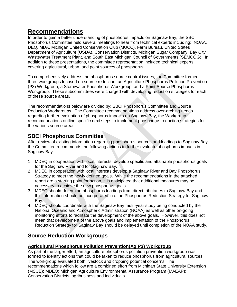### **Recommendations**

In order to gain a better understanding of phosphorus impacts on Saginaw Bay, the SBCI Phosphorus Committee held several meetings to hear from technical experts including: NOAA, DEQ, MDA, Michigan United Conservation Club (MUCC), Farm Bureau, United States Department of Agriculture (USDA), Conservation Districts, Michigan Sugar Company, Bay City Wastewater Treatment Plant, and South East Michigan Council of Governments (SEMCOG). In addition to these presentations, the committee representation included technical experts covering agricultural, urban, and point sources of phosphorus.

To comprehensively address the phosphorus source control issues, the Committee formed three workgroups focused on source reduction: an Agriculture Phosphorus Pollution Prevention (P3) Workgroup; a Stormwater Phosphorus Workgroup; and a Point Source Phosphorus Workgroup. These subcommittees were charged with developing reduction strategies for each of these source areas.

The recommendations below are divided by: SBCI Phosphorus Committee and Source Reduction Workgroups. The Committee recommendations address over-arching needs regarding further evaluation of phosphorus impacts on Saginaw Bay, the Workgroup recommendations outline specific next steps to implement phosphorus reduction strategies for the various source areas.

### **SBCI Phosphorus Committee**

After review of existing information regarding phosphorus sources and loadings to Saginaw Bay, the Committee recommends the following actions to further evaluate phosphorus impacts in Saginaw Bay:

- 1. MDEQ in cooperation with local interests, develop specific and attainable phosphorus goals for the Saginaw River and for Saginaw Bay.
- 2. MDEQ in cooperation with local interests develop a Saginaw River and Bay Phosphorus Strategy to meet the newly defined goals. While the recommendations in the attached report are a starting point for action, it is anticipated that additional measures may be necessary to achieve the new phosphorus goals.
- 3. MDEQ should determine phosphorus loadings from direct tributaries to Saginaw Bay and this information should be incorporated into the Phosphorus Reduction Strategy for Saginaw Bay.
- 4. MDEQ should coordinate with the Saginaw Bay multi-year study being conducted by the National Oceanic and Atmospheric Administration (NOAA) as well as other on-going monitoring efforts to facilitate the development of the above goals. However, this does not mean that development of the above goals and implementation of the Phosphorus Reduction Strategy for Saginaw Bay should be delayed until completion of the NOAA study.

### **Source Reduction Workgroups**

#### **Agricultural Phosphorus Pollution Prevention(Ag P3) Workgroup**

As part of the larger effort, an agriculture phosphorus pollution prevention workgroup was formed to identify actions that could be taken to reduce phosphorus from agricultural sources. The workgroup evaluated both livestock and cropping potential concerns. The recommendations which follow are a combined effort from Michigan State University Extension (MSUE); MDEQ; Michigan Agriculture Environmental Assurance Program (MAEAP); Conservation Districts; agribusiness and individuals.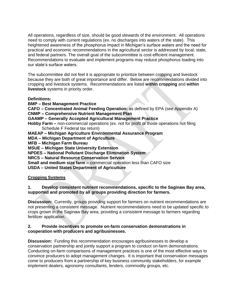All operations, regardless of size, should be good stewards of the environment. All operations need to comply with current regulations (ex. no discharges into waters of the state). This heightened awareness of the phosphorus impact in Michigan"s surface waters and the need for practical and economic recommendations in the agricultural sector is addressed by local, state, and federal partners. The overall goal of the subcommittee is cost-efficient management. Recommendations to evaluate and implement programs may reduce phosphorus loading into our state"s surface waters.

The subcommittee did not feel it is appropriate to prioritize between cropping and livestock because they are both of great importance and differ. Below are recommendations divided into cropping and livestock systems. Recommendations are listed **within cropping** and **within livestock** systems in priority order.

#### **Definitions:**

**BMP – Best Management Practice**

**CAFO – Concentrated Animal Feeding Operation:** as defined by EPA (see Appendix A)

**CNMP – Comprehensive Nutrient Management Plan**

**GAAMP – Generally Accepted Agricultural Management Practice**

**Hobby Farm –** non-commercial operations (ex. not for profit or those operations not filing Schedule F Federal tax return)

**MAEAP – Michigan Agriculture Environmental Assurance Program**

**MDA – Michigan Department of Agriculture**

**MFB – Michigan Farm Bureau**

**MSUE – Michigan State University Extension**

**NPDES – National Pollutant Discharge Elimination System**

**NRCS – Natural Resource Conservation Service**

**Small and medium size farm –** commercial operation less than CAFO size

**USDA – United States Department of Agriculture**

#### **Cropping Systems**

#### **1. Develop consistent nutrient recommendations, specific to the Saginaw Bay area, supported and promoted by all groups providing direction for farmers.**

**Discussion:** Currently, groups providing support for farmers on nutrient recommendations are not presenting a consistent message. Nutrient recommendations need to be updated specific to crops grown in the Saginaw Bay area, providing a consistent message to farmers regarding fertilizer application.

#### **2. Provide incentives to promote on-farm conservation demonstrations in cooperation with producers and agribusinesses.**

**Discussion:** Funding this recommendation encourages agribusinesses to develop a conservation partnership and jointly support a program to conduct on-farm demonstrations. Conducting on-farm comparisons of management practices is one of the most effective ways to convince producers to adopt management changes. It is important that conservation messages come to producers from a partnership of key business community stakeholders, for example implement dealers, agronomy consultants, lenders, commodity groups, etc.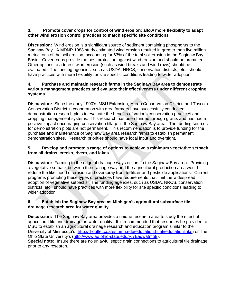#### **3. Promote cover crops for control of wind erosion; allow more flexibility to adapt other wind erosion control practices to match specific site conditions.**

**Discussion:** Wind erosion is a significant source of sediment containing phosphorus to the Saginaw Bay. A MDNR 1988 study estimated wind erosion resulted in greater than five million metric tons of the soil erosion, accounting for 63% of the total soil erosion in the Saginaw Bay Basin. Cover crops provide the best protection against wind erosion and should be promoted. Other options to address wind erosion (such as wind breaks and wind rows) should be evaluated. The funding agencies, such as USDA, NRCS, conservation districts, etc., should have practices with more flexibility for site specific conditions leading to wider adoption.

#### **4. Purchase and maintain research farms in the Saginaw Bay area to demonstrate various management practices and evaluate their effectiveness under different cropping systems.**

**Discussion:** Since the early 1990"s, MSU Extension, Huron Conservation District, and Tuscola Conservation District in cooperation with area farmers have successfully conducted demonstration research plots to evaluate the benefits of various conservation practices and cropping management systems. This research has been funded through grants and has had a positive impact encouraging conservation tillage in the Saginaw Bay area. The funding sources for demonstration plots are not permanent. This recommendation is to provide funding for the purchase and maintenance of Saginaw Bay area research farms to establish permanent demonstration sites. Research priorities should have local input and oversight.

#### **5. Develop and promote a range of options to achieve a minimum vegetative setback from all drains, creeks, rivers, and lakes.**

**Discussion:** Farming to the edge of drainage ways occurs in the Saginaw Bay area. Providing a vegetative setback between the drainage way and the agricultural production area would reduce the likelihood of erosion and overspray from fertilizer and pesticide applications. Current programs promoting these types of practices have requirements that limit the widespread adoption of vegetative setbacks. The funding agencies, such as USDA, NRCS, conservation districts, etc., should have practices with more flexibility for site specific conditions leading to wider adoption.

#### **6. Establish the Saginaw Bay area as Michigan's agricultural subsurface tile drainage research area for water quality.**

**Discussion:** The Saginaw Bay area provides a unique research area to study the effect of agricultural tile and drainage on water quality. It is recommended that resources be provided to MSU to establish an agricultural drainage research and education program similar to the University of Minnesota"s [\(http://d-outlet.coafes.umn.edu/education.html#educationlinks\)](http://d-outlet.coafes.umn.edu/education.html#educationlinks) or The Ohio State University"s [\(http://www.ag.ohio-state.edu/%7Eagwatmgt/\)](http://www.ag.ohio-state.edu/~agwatmgt/). **Special note:** Insure there are no unlawful septic drain connections to agricultural tile drainage prior to any research.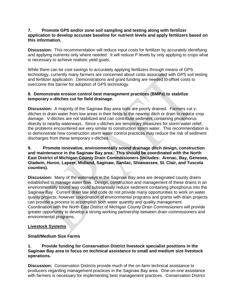#### **7. Promote GPS and/or zone soil sampling and testing along with fertilizer application to develop accurate baseline for nutrient levels and apply fertilizers based on this information.**

**Discussion:** This recommendation will reduce input costs for fertilizer by accurately identifying and applying nutrients only where needed. It will reduce P levels by only applying to crops what is necessary to achieve realistic yield goals.

While there can be cost savings to accurately applying fertilizers through means of GPS technology, currently many farmers are concerned about costs associated with GPS soil testing and fertilizer application. Demonstrations and grant funding are needed to offset costs to overcome this barrier for adoption of GPS technology.

#### **8. Demonstrate erosion control best management practices (BMPs) to stabilize temporary v-ditches cut for field drainage.**

**Discussion:** A majority of the Saginaw Bay area soils are poorly drained. Farmers cut vditches to drain water from low areas in their fields to the nearest ditch or drain to reduce crop damage. V-ditches are not stabilized and can contribute sediment containing phosphorus directly to nearby waterways. Since v-ditches are temporary measures for storm water relief, the problems encountered are very similar to construction storm water. This recommendation is to demonstrate how construction storm water control practices may reduce the risk of sediment discharges from these temporary v-ditches.

#### **9. Promote innovative, environmentally sound drainage ditch design, construction and maintenance in the Saginaw Bay area. This should be coordinated with the North East District of Michigan County Drain Commissioners (includes: Arenac, Bay, Genesee, Gladwin, Huron, Lapeer, Midland, Saginaw, Sanilac, Shiawassee, St. Clair, and Tuscola counties).**

**Discussion:** Many of the waterways in the Saginaw Bay area are designated county drains established to manage water flow. Design, construction and management of these drains in an environmentally sound way could substantially reduce sediment containing phosphorus into the Saginaw Bay. Current drain law and code do not provide many opportunities to work on water quality projects; however coordination of environmental programs and grants with drain projects can provide a process to accomplish both water quantity and quality management. Coordination with the North East District of Michigan County Drain Commissioners will provide greater opportunity to develop a strong working partnership between drain commissioners and environmental programs.

#### **Livestock Systems**

#### **Small/Medium Size Farms**

#### **1. Provide funding for Conservation District livestock specialist positions in the Saginaw Bay area to focus on technical assistance to small and medium size livestock operations.**

**Discussion:** Conservation Districts provide much of the on-farm technical assistance to producers regarding management practices in the Saginaw Bay area. One-on-one assistance with farmers is necessary for implementing best management practices. Conservation District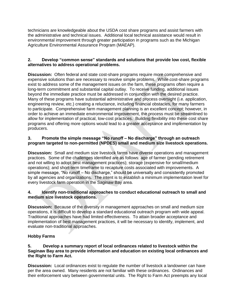technicians are knowledgeable about the USDA cost share programs and assist farmers with the administrative and technical issues. Additional local technical assistance would result in environmental improvement through greater participation in programs such as the Michigan Agriculture Environmental Assurance Program (MAEAP).

#### **2. Develop "common sense" standards and solutions that provide low cost, flexible alternatives to address operational problems.**

**Discussion:** Often federal and state cost-share programs require more comprehensive and expensive solutions than are necessary to resolve simple problems. While cost-share programs exist to address some of the management issues on the farm, these programs often require a long-term commitment and substantial capital outlay. To receive funding, additional issues beyond the immediate practice must be addressed in conjunction with the desired practice. Many of these programs have substantial administrative and process oversight (i.e. application, engineering review, etc.) creating a reluctance, including financial obstacles, for many farmers to participate. Comprehensive farm management planning is an excellent concept; however, in order to achieve an immediate environmental improvement, the process must be streamlined to allow for implementation of practical, low-cost practices. Building flexibility into these cost share programs and offering more options would lead to a greater acceptance and implementation by producers.

#### **3. Promote the simple message "No runoff – No discharge" through an outreach program targeted to non-permitted (NPDES) small and medium size livestock operations.**

**Discussion:** Small and medium size livestock farms have diverse operations and management practices. Some of the challenges identified are as follows: age of farmer (pending retirement and not willing to adopt best management practices); storage (expensive for small/medium operations); and short-term timeframe to recapture costs associated with improvements. A simple message, "No runoff – No discharge," should be universally and consistently promoted by all agencies and organizations. The intent is to establish a minimum implementation level for every livestock farm operation in the Saginaw Bay area.

#### **4. Identify non-traditional approaches to conduct educational outreach to small and medium size livestock operations.**

**Discussion:** Because of the diversity in management approaches on small and medium size operations, it is difficult to develop a standard educational outreach program with wide appeal. Traditional approaches have had limited effectiveness. To attain broader acceptance and implementation of best management practices, it will be necessary to identify, implement, and evaluate non-traditional approaches.

#### **Hobby Farms**

#### **5. Develop a summary report of local ordinances related to livestock within the Saginaw Bay area to provide information and education on existing local ordinances and the Right to Farm Act.**

**Discussion:** Local ordinances exist to regulate the number of livestock a landowner can have per the area owned. Many residents are not familiar with these ordinances. Ordinances and their enforcement vary between governmental units. The Right to Farm Act preempts any local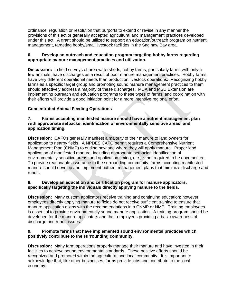ordinance, regulation or resolution that purports to extend or revise in any manner the provisions of this act or generally accepted agricultural and management practices developed under this act. A grant should be utilized to support an education/outreach program on nutrient management, targeting hobby/small livestock facilities in the Saginaw Bay area.

#### **6. Develop an outreach and education program targeting hobby farms regarding appropriate manure management practices and utilization.**

**Discussion:** In field surveys of area watersheds, hobby farms, particularly farms with only a few animals, have discharges as a result of poor manure management practices. Hobby farms have very different operational needs than production livestock operations. Recognizing hobby farms as a specific target group and promoting sound manure management practices to them should effectively address a majority of these discharges. MDA and MSU Extension are implementing outreach and education programs to these types of farms, and coordination with their efforts will provide a good initiation point for a more intensive regional effort.

#### **Concentrated Animal Feeding Operations**

#### **7. Farms accepting manifested manure should have a nutrient management plan with appropriate setbacks; identification of environmentally sensitive areas; and application timing.**

**Discussion:** CAFOs generally manifest a majority of their manure to land owners for application to nearby fields. A NPDES CAFO permit requires a Comprehensive Nutrient Management Plan (CNMP) to outline how and where they will apply manure. Proper land application of manifested manure, including appropriate setbacks; identification of environmentally sensitive areas; and application timing, etc., is not required to be documented. To provide reasonable assurance to the surrounding community, farms accepting manifested manure should develop and implement nutrient management plans that minimize discharge and runoff.

#### **8. Develop an education and certification program for manure applicators, specifically targeting the individuals directly applying manure to the fields.**

**Discussion:** Many custom applicators receive training and continuing education; however, employees directly applying manure to fields do not receive sufficient training to ensure that manure application aligns with the recommendations in a CNMP or NMP. Training employees is essential to provide environmentally sound manure application. A training program should be developed for the manure applicators and their employees providing a basic awareness of discharge and runoff issues.

#### **9. Promote farms that have implemented sound environmental practices which positively contribute to the surrounding community.**

**Discussion:** Many farm operations properly manage their manure and have invested in their facilities to achieve sound environmental standards. These positive efforts should be recognized and promoted within the agricultural and local community. It is important to acknowledge that, like other businesses, farms provide jobs and contribute to the local economy.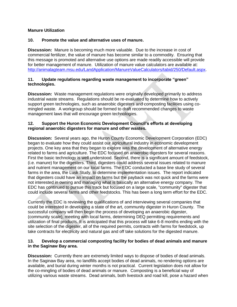#### **Manure Utilization**

#### **10. Promote the value and alternative uses of manure.**

**Discussion:** Manure is becoming much more valuable. Due to the increase in cost of commercial fertilizer, the value of manure has become similar to a commodity. Ensuring that this message is promoted and alternative use options are made readily accessible will provide for better management of manure. Utilization of manure value calculators are available at: [http://animalagteam.msu.edu/LandApplication/ManureValueCalculators/tabid/250/Default.aspx.](http://animalagteam.msu.edu/LandApplication/ManureValueCalculators/tabid/250/Default.aspx)

#### **11. Update regulations regarding waste management to incorporate "green" technologies.**

**Discussion:** Waste management regulations were originally developed primarily to address industrial waste streams. Regulations should be re-evaluated to determine how to actively support green technologies, such as anaerobic digesters and composting facilities using comingled waste. A workgroup should be formed to draft recommended changes to waste management laws that will encourage green technologies.

#### **12. Support the Huron Economic Development Council's efforts at developing regional anaerobic digesters for manure and other wastes.**

**Discussion:** Several years ago, the Huron County Economic Development Corporation (EDC) began to evaluate how they could assist our agricultural industry in economic development projects. One key area that they began to explore was the development of alternative energy related to farms and agriculture. The EDC focused on anaerobic digesters for several reasons. First the basic technology is well understood. Second, there is a significant amount of feedstock, (i.e. manure) for the digesters. Third, digesters could address several issues related to manure and nutrient management on our local farms. The EDC conducted a base line study of several farms in the area, the Lusk Study, to determine implementation issues. The report indicated that digesters could have an impact on farms but the payback was not quick and the farms were not interested in owning and managing what is basically an alternative energy company. The EDC has continued to pursue this track but focused on a large scale, "community" digester that could include several farms and other feedstocks. This has been a long term effort for the EDC.

Currently the EDC is reviewing the qualifications of and interviewing several companies that could be interested in developing a state of the art, community digester in Huron County. The successful company will then begin the process of developing an anaerobic digester, (community scale), meeting with local farms, determining DEQ permitting requirements and utilization of final products. It is anticipated that this process will take 6-8 months ending with the site selection of the digester, all of the required permits, contracts with farms for feedstock, up take contracts for electricity and natural gas and off take solutions for the digested manure.

#### **13. Develop a commercial composting facility for bodies of dead animals and manure in the Saginaw Bay area.**

**Discussion:** Currently there are extremely limited ways to dispose of bodies of dead animals. In the Saginaw Bay area, no landfills accept bodies of dead animals, no rendering options are available, and burial during winter months is not practical. Current legislation does not allow for the co-mingling of bodies of dead animals or manure. Composting is a beneficial way of utilizing various waste streams. Dead animals, both livestock and road kill, pose a hazard when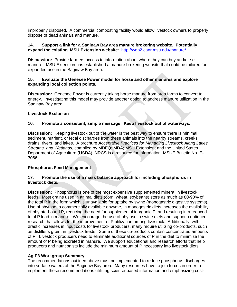improperly disposed. A commercial composting facility would allow livestock owners to properly dispose of dead animals and manure.

#### **14. Support a link for a Saginaw Bay area manure brokering website. Potentially expand the existing MSU Extension website**: <http://web2.canr.msu.edu/manure/>

**Discussion:** Provide farmers access to information about where they can buy and/or sell manure. MSU Extension has established a manure brokering website that could be tailored for expanded use in the Saginaw Bay area.

#### **15. Evaluate the Genesee Power model for horse and other manures and explore expanding local collection points.**

**Discussion:** Genesee Power is currently taking horse manure from area farms to convert to energy. Investigating this model may provide another option to address manure utilization in the Saginaw Bay area.

#### **Livestock Exclusion**

#### **16. Promote a consistent, simple message "Keep livestock out of waterways."**

**Discussion:** Keeping livestock out of the water is the best way to ensure there is minimal sediment, nutrient, or fecal discharges from these animals into the nearby streams, creeks, drains, rivers, and lakes. A brochure *Acceptable Practices for Managing Livestock Along Lakes, Streams, and Wetlands*, compiled by MDEQ; MDA; MSU Extension; and the United States Department of Agriculture (USDA), NRCS is a resource for information. MSUE Bulletin No. E-3066.

#### **Phosphorus Feed Management**

#### **17. Promote the use of a mass balance approach for including phosphorus in livestock diets.**

**Discussion:** Phosphorus is one of the most expensive supplemented mineral in livestock feeds. Most grains used in animal diets (corn, wheat, soybeans) store as much as 80-90% of the total P in the form which is unavailable for uptake by swine (monogastric digestive systems). Use of phytase, a commercially available enzyme, in monogastric diets increases the availability of phytate-bound P, reducing the need for supplemental inorganic P, and resulting in a reduced total P load in manure. We encourage the use of phytase in swine diets and support continued research that allows for the improvement of P utilization among livestock. Additionally, with drastic increases in input costs for livestock producers, many require utilizing co-products, such as distiller"s grain, in livestock feeds. Some of these co-products contain concentrated amounts of P. Livestock producers need to eliminate additional sources of P in the diet to minimize the amount of P being excreted in manure. We support educational and research efforts that help producers and nutritionists include the minimum amount of P necessary into livestock diets.

#### **Ag P3 Workgroup Summary:**

The recommendations outlined above must be implemented to reduce phosphorus discharges into surface waters of the Saginaw Bay area. Many resources have to join forces in order to implement these recommendations utilizing science-based information and emphasizing cost-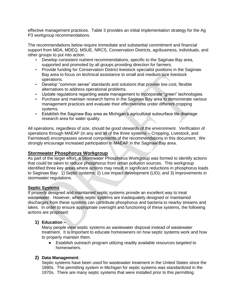effective management practices. Table 3 provides an initial implementation strategy for the Ag P3 workgroup recommendations.

The recommendations below require immediate and substantial commitment and financial support from MDA, MDEQ, MSUE, NRCS, Conservation Districts, agribusiness, individuals, and other groups to put into action.

- Develop consistent nutrient recommendations, specific to the Saginaw Bay area, supported and promoted by all groups providing direction for farmers.
- Provide funding for Conservation District livestock specialist positions in the Saginaw Bay area to focus on technical assistance to small and medium size livestock operations.
- Develop "common sense" standards and solutions that provide low cost, flexible alternatives to address operational problems.
- Update regulations regarding waste management to incorporate "green" technologies.
- Purchase and maintain research farms in the Saginaw Bay area to demonstrate various management practices and evaluate their effectiveness under different cropping systems.
- Establish the Saginaw Bay area as Michigan"s agricultural subsurface tile drainage research area for water quality.

All operations, regardless of size, should be good stewards of the environment. Verification of operations through MAEAP (in any and all of the three systems – Cropping, Livestock, and Farmstead) encompasses several components of the recommendations in this document. We strongly encourage increased participation in MAEAP in the Saginaw Bay area.

#### **Stormwater Phosphorus Workgroup**

As part of the larger effort, a Stormwater Phosphorus Workgroup was formed to identify actions that could be taken to reduce phosphorus from urban pollution sources. This workgroup identified three key areas where actions may result in significant reductions in phosphorus loads to Saginaw Bay: 1) Septic systems; 2) Low impact development (LID); and 3) Improvements in stormwater regulations.

#### **Septic Systems**

If properly designed and maintained septic systems provide an excellent way to treat wastewater. However, where septic systems are inadequately designed or maintained discharges from these systems can contribute phosphorus and bacteria to nearby streams and lakes. In order to ensure appropriate oversight and functioning of these systems, the following actions are proposed:

#### **1) Education –**

Many people view septic systems as wastewater disposal instead of wastewater treatment. It is important to educate homeowners on how septic systems work and how to properly maintain them.

 $\bullet$ Establish outreach program utilizing readily available resources targeted to homeowners.

#### **2) Data Management**:

Septic systems have been used for wastewater treatment in the United States since the 1880s. The permitting system in Michigan for septic systems was standardized in the 1970s. There are many septic systems that were installed prior to this permitting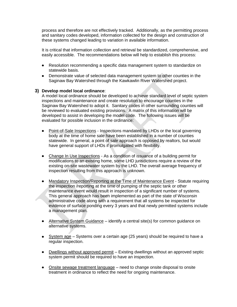process and therefore are not effectively tracked. Additionally, as the permitting process and sanitary codes developed, information collected for the design and construction of these systems changed leading to variation in available information.

It is critical that information collection and retrieval be standardized, comprehensive, and easily accessible. The recommendations below will help to establish this process:

- Resolution recommending a specific data management system to standardize on statewide basis.
- Demonstrate value of selected data management system to other counties in the Saginaw Bay Watershed through the Kawkawlin River Watershed project.

#### **3) Develop model local ordinance**:

A model local ordinance should be developed to achieve standard level of septic system inspections and maintenance and create resolution to encourage counties in the Saginaw Bay Watershed to adopt it. Sanitary codes in other surrounding counties will be reviewed to evaluated existing provisions. A matrix of this information will be developed to assist in developing the model code. The following issues will be evaluated for possible inclusion in the ordinance:

- Point-of-Sale Inspections Inspections mandated by LHDs or the local governing body at the time of home sale have been established in a number of counties statewide. In general, a point of sale approach is opposed by realtors, but would have general support of LHDs if promulgated with flexibility.
- Change In Use Inspections As a condition of issuance of a building permit for modifications to an existing home, some LHD jurisdictions require a review of the existing on-site wastewater system by the LHD. The overall average frequency of inspection resulting from this approach is unknown.
- Mandatory Inspection/Reporting at the Time of Maintenance Event Statute requiring  $\bullet$ the inspection /reporting at the time of pumping of the septic tank or other maintenance event would result in inspection of a significant number of systems. This general approach has been implemented as part of the state of Wisconsin administrative code along with a requirement that all systems be inspected for evidence of surface ponding every 3 years and that newly permitted systems include a management plan.
- Alternative System Guidance identify a central site(s) for common guidance on alternative systems.
- System age Systems over a certain age (25 years) should be required to have a regular inspection.
- Dwellings without approved permit Existing dwellings without an approved septic system permit should be required to have an inspection.
- Onsite sewage treatment language need to change onsite disposal to onsite treatment in ordinance to reflect the need for ongoing maintenance.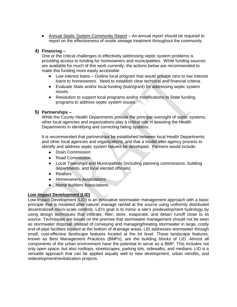• Annual Septic System Community Report - An annual report should be required to report on the effectiveness of onsite sewage treatment throughout the community.

#### **4) Financing –**

One or the critical challenges to effectively addressing septic system problems is providing access to funding for homeowners and municipalities. While funding sources are available for much of this work currently, the actions below are recommended to make this funding more easily accessible:

- Low interest loans Outline local program that would provide zero to low interest  $\bullet$ loans to homeowners. Need to establish clear technical and financial criteria.
- Evaluate State and/or local funding (loan/grant) for addressing septic system issues.
- Resolution to support local programs and/or modifications to State funding  $\bullet$ programs to address septic system issues.

#### **5) Partnerships –**

While the County Health Departments provide the principal oversight of septic systems, other local agencies and organizations play a critical role in assisting the Health Departments in identifying and correcting failing systems.

It is recommended that partnerships be established between local Health Departments and other local agencies and organizations, and that a model inter-agency process to identify and address septic system failures be developed. Partners would include:

- $\bullet$ Drain Commission
- Road Commission  $\bullet$
- Local Townships and Municipalities (including planning commissions, building  $\bullet$ departments, and local elected officials)
- Realtors  $\bullet$
- Homeowners Associations  $\bullet$
- Home builders Associations  $\bullet$

#### **Low Impact Development (LID)**

Low Impact Development (LID) is an innovative stormwater management approach with a basic principle that is modeled after nature: manage rainfall at the source using uniformly distributed decentralized micro-scale controls. LID's goal is to mimic a site's predevelopment hydrology by using design techniques that infiltrate, filter, store, evaporate, and detain runoff close to its source. Techniques are based on the premise that stormwater management should not be seen as stormwater disposal. Instead of conveying and managing/treating stormwater in large, costly end-of-pipe facilities located at the bottom of drainage areas, LID addresses stormwater through small, cost-effective landscape features located at the lot level. These landscape features, known as Best Management Practices (BMPs), are the building blocks of LID. Almost all components of the urban environment have the potential to serve as a BMP. This includes not only open space, but also rooftops, streetscapes, parking lots, sidewalks, and medians. LID is a versatile approach that can be applied equally well to new development, urban retrofits, and redevelopment/revitalization projects.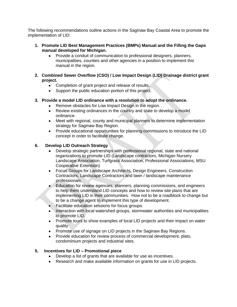The following recommendations outline actions in the Saginaw Bay Coastal Area to promote the implementation of LID:

- **1. Promote LID Best Management Practices (BMPs) Manual and the Filling the Gaps manual developed for Michigan.**<br>**•** Provide a conduit of community
	- Provide a conduit of communication to professional designers, planners, municipalities, counties and other agencies in a position to implement this manual in the region.
- **2. Combined Sewer Overflow (CSO) / Low Impact Design (LID) Drainage district grant project.**
	- Completion of grant project and release of results.
	- Support the public education portion of this project.
- **3. Provide a model LID ordinance with a resolution to adopt the ordinance.**
	- Remove obstacles for Low Impact Design in the region.
	- Review existing ordinances in the country and state to develop a model ordinance.
	- Meet with regional, county and municipal planners to determine implementation strategy for Saginaw Bay Region.
	- $\bullet$ Provide educational opportunities for planning commissions to introduce the LID concept in order to facilitate change.

#### **6. Develop LID Outreach Strategy**

- Develop strategic partnerships with professional regional, state and national organizations to promote LID (Landscape contractors, Michigan Nursery Landscape Association, Turfgrass Association, Professional Associations, MSU Cooperative Extension)
- Focus Groups for Landscape Architects, Design Engineers, Construction  $\bullet$ Contractors, Landscape Contractors and lawn / landscape maintenance professionals.
- Education for review agencies, planners, planning commissions, and engineers to help them understand LID concepts and how to review site plans that are implementing LID in their communities. How not to be a roadblock to change but to be a change agent to implement this type of development.
- Facilitate education sessions for focus groups.
- Interaction with local watershed groups, stormwater authorities and municipalities to promote LID.
- Promote tours to show examples of local LID projects and their impact on water quality
- Promote use of signage on LID projects in the Saginaw Bay Regions.
- Provide education for review process of commercial development, plats, condominium projects and industrial sites.

#### **5. Incentives for LID – Promotional piece**

- Develop a list of grants that are available for use as incentives.
- Research and make available information on grants for use in LID projects.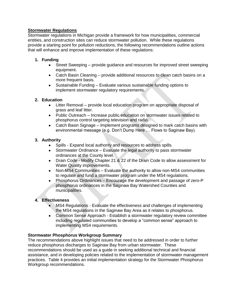#### **Stormwater Regulations**

Stormwater regulations in Michigan provide a framework for how municipalities, commercial entities, and construction sites can reduce stormwater pollution. While these regulations provide a starting point for pollution reductions, the following recommendations outline actions that will enhance and improve implementation of these regulations:

#### **1. Funding**

- Street Sweeping provide guidance and resources for improved street sweeping equipment.
- Catch Basin Cleaning provide additional resources to clean catch basins on a more frequent basis.
- Sustainable Funding Evaluate various sustainable funding options to implement stormwater regulatory requirements.

#### **2. Education**

- Litter Removal provide local education program on appropriate disposal of  $\bullet$ grass and leaf litter.
- Public Outreach Increase public education on stormwater issues related to phosphorus control targeting television and radio.
- Catch Basin Signage Implement programs designed to mark catch basins with environmental message (e.g. Don"t Dump Here … Flows to Saginaw Bay).

#### **3. Authority**

- Spills Expand local authority and resources to address spills.
- Stormwater Ordinance Evaluate the legal authority to pass stormwater ordinances at the County level.
- Drain Code Modify Chapter 21 & 22 of the Drain Code to allow assessment for Water Quality improvements.
- Non-MS4 Communities Evaluate the authority to allow non-MS4 communities to regulate and fund a stormwater program under the MS4 regulations.
- $\bullet$ Phosphorus Ordinances – Encourage the development and passage of zero-P phosphorus ordinances in the Saginaw Bay Watershed Counties and municipalities.

#### **4. Effectiveness**

- MS4 Regulations Evaluate the effectiveness and challenges of implementing the MS4 regulations in the Saginaw Bay Area as it relates to phosphorus.
- $\bullet$ Common Sense Approach - Establish a stormwater regulatory review committee including regulated communities to develop a "common sense" approach to implementing MS4 requirements.

#### **Stormwater Phosphorus Workgroup Summary**

The recommendations above highlight issues that need to be addressed in order to further reduce phosphorus discharges to Saginaw Bay from urban stormwater. These recommendations should be used as a guide in seeking additional technical and financial assistance, and in developing policies related to the implementation of stormwater management practices. Table 4 provides an initial implementation strategy for the Stormwater Phosphorus Workgroup recommendations.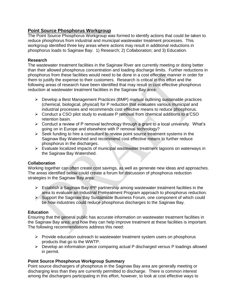#### **Point Source Phosphorus Workgroup**

The Point Source Phosphorus Workgroup was formed to identify actions that could be taken to reduce phosphorus from industrial and municipal wastewater treatment processes. This workgroup identified three key areas where actions may result in additional reductions in phosphorus loads to Saginaw Bay: 1) Research; 2) Collaboration; and 3) Education.

#### **Research**

The wastewater treatment facilities in the Saginaw River are currently meeting or doing better than their allowed phosphorus concentration and loading discharge limits. Further reductions in phosphorus from these facilities would need to be done in a cost effective manner in order for them to justify the expense to their customers. Research is critical in this effort and the following areas of research have been identified that may result in cost effective phosphorus reduction at wastewater treatment facilities in the Saginaw Bay area:

- $\triangleright$  Develop a Best Management Practices (BMP) manual outlining sustainable practices (chemical, biological, physical) for P reduction that evaluates various municipal and industrial processes and recommends cost effective means to reduce phosphorus.
- $\triangleright$  Conduct a CSO pilot study to evaluate P removal from chemical additions to a CSO retention basin.
- $\triangleright$  Conduct a review of P removal technology through a grant to a local university. What's going on in Europe and elsewhere with P removal technology?
- $\triangleright$  Seek funding to hire a consultant to review point source treatment systems in the Saginaw Bay Watershed and recommend cost effective means to further reduce phosphorus in the discharges.
- $\triangleright$  Evaluate localized impacts of municipal wastewater treatment lagoons on waterways in the Saginaw Bay Watershed.

#### **Collaboration**

Working together can often create cost savings, as well as generate new ideas and approaches. The areas identified below could create a forum for discussion of phosphorus reduction strategies in the Saginaw Bay area:

- $\triangleright$  Establish a Saginaw Bay IPP partnership among wastewater treatment facilities in the area to evaluate an Industrial Pretreatment Program approach to phosphorus reduction.
- $\triangleright$  Support the Saginaw Bay Sustainable Business Forum, one component of which could be how industries could reduce phosphorus discharges to the Saginaw Bay.

#### **Education**

Ensuring that the general public has accurate information on wastewater treatment facilities in the Saginaw Bay area; and how they can help improve treatment at these facilities is important. The following recommendations address this need:

- $\triangleright$  Provide education outreach to wastewater treatment system users on phosphorus products that go to the WWTP.
- $\triangleright$  Develop an information piece comparing actual P discharged versus P loadings allowed in permit.

#### **Point Source Phosphorus Workgroup Summary**

Point source dischargers of phosphorus in the Saginaw Bay area are generally meeting or discharging less than they are currently permitted to discharge. There is common interest among the dischargers participating in this effort, however, to look at cost effective ways to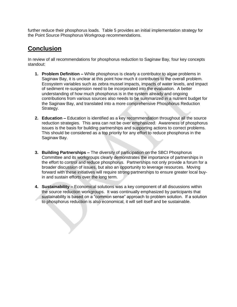further reduce their phosphorus loads. Table 5 provides an initial implementation strategy for the Point Source Phosphorus Workgroup recommendations.

# **Conclusion**

In review of all recommendations for phosphorus reduction to Saginaw Bay, four key concepts standout:

- **1. Problem Definition –** While phosphorus is clearly a contributor to algae problems in Saginaw Bay, it is unclear at this point how much it contributes to the overall problem. Ecosystem variables such as zebra mussel impacts, impacts of water levels, and impact of sediment re-suspension need to be incorporated into the evaluation. A better understanding of how much phosphorus is in the system already and ongoing contributions from various sources also needs to be summarized in a nutrient budget for the Saginaw Bay, and translated into a more comprehensive Phosphorus Reduction Strategy.
- **2. Education –** Education is identified as a key recommendation throughout all the source reduction strategies. This area can not be over emphasized. Awareness of phosphorus issues is the basis for building partnerships and supporting actions to correct problems. This should be considered as a top priority for any effort to reduce phosphorus in the Saginaw Bay.
- **3. Building Partnerships –** The diversity of participation on the SBCI Phosphorus Committee and its workgroups clearly demonstrates the importance of partnerships in the effort to control and reduce phosphorus. Partnerships not only provide a forum for a broader discussion of issues, but also an opportunity to leverage resources. Moving forward with these initiatives will require strong partnerships to ensure greater local buyin and sustain efforts over the long term.
- **4. Sustainability –** Economical solutions was a key component of all discussions within the source reduction workgroups. It was continually emphasized by participants that sustainability is based on a "common sense" approach to problem solution. If a solution to phosphorus reduction is also economical, it will sell itself and be sustainable.